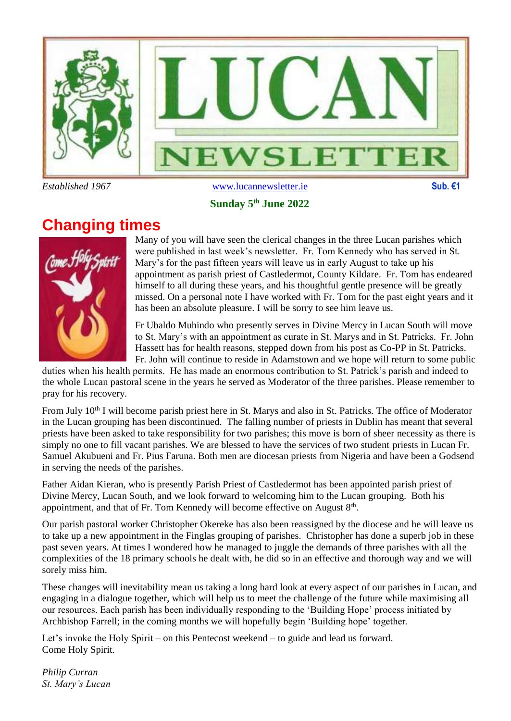

#### **Sunday 5 th June 2022**

## **Changing times**



Many of you will have seen the clerical changes in the three Lucan parishes which were published in last week's newsletter. Fr. Tom Kennedy who has served in St. Mary's for the past fifteen years will leave us in early August to take up his appointment as parish priest of Castledermot, County Kildare. Fr. Tom has endeared himself to all during these years, and his thoughtful gentle presence will be greatly missed. On a personal note I have worked with Fr. Tom for the past eight years and it has been an absolute pleasure. I will be sorry to see him leave us.

Fr Ubaldo Muhindo who presently serves in Divine Mercy in Lucan South will move to St. Mary's with an appointment as curate in St. Marys and in St. Patricks. Fr. John Hassett has for health reasons, stepped down from his post as Co-PP in St. Patricks. Fr. John will continue to reside in Adamstown and we hope will return to some public

duties when his health permits. He has made an enormous contribution to St. Patrick's parish and indeed to the whole Lucan pastoral scene in the years he served as Moderator of the three parishes. Please remember to pray for his recovery.

From July 10<sup>th</sup> I will become parish priest here in St. Marys and also in St. Patricks. The office of Moderator in the Lucan grouping has been discontinued. The falling number of priests in Dublin has meant that several priests have been asked to take responsibility for two parishes; this move is born of sheer necessity as there is simply no one to fill vacant parishes. We are blessed to have the services of two student priests in Lucan Fr. Samuel Akubueni and Fr. Pius Faruna. Both men are diocesan priests from Nigeria and have been a Godsend in serving the needs of the parishes.

Father Aidan Kieran, who is presently Parish Priest of Castledermot has been appointed parish priest of Divine Mercy, Lucan South, and we look forward to welcoming him to the Lucan grouping. Both his appointment, and that of Fr. Tom Kennedy will become effective on August  $8<sup>th</sup>$ .

Our parish pastoral worker Christopher Okereke has also been reassigned by the diocese and he will leave us to take up a new appointment in the Finglas grouping of parishes. Christopher has done a superb job in these past seven years. At times I wondered how he managed to juggle the demands of three parishes with all the complexities of the 18 primary schools he dealt with, he did so in an effective and thorough way and we will sorely miss him.

These changes will inevitability mean us taking a long hard look at every aspect of our parishes in Lucan, and engaging in a dialogue together, which will help us to meet the challenge of the future while maximising all our resources. Each parish has been individually responding to the 'Building Hope' process initiated by Archbishop Farrell; in the coming months we will hopefully begin 'Building hope' together.

Let's invoke the Holy Spirit – on this Pentecost weekend – to guide and lead us forward. Come Holy Spirit.

*Philip Curran St. Mary's Lucan*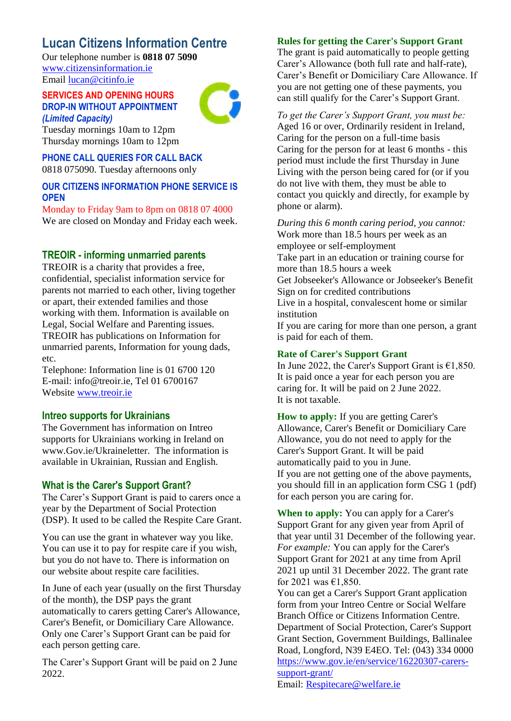### **Lucan Citizens Information Centre**

Our telephone number is **0818 07 5090** [www.citizensinformation.ie](http://www.citizensinformation.ie/) Email [lucan@citinfo.ie](mailto:lucan@citinfo.ie)

#### **SERVICES AND OPENING HOURS DROP-IN WITHOUT APPOINTMENT**  *(Limited Capacity)*



Tuesday mornings 10am to 12pm Thursday mornings 10am to 12pm

**PHONE CALL QUERIES FOR CALL BACK**  0818 075090. Tuesday afternoons only

#### **OUR CITIZENS INFORMATION PHONE SERVICE IS OPEN**

Monday to Friday 9am to 8pm on 0818 07 4000 We are closed on Monday and Friday each week.

#### **TREOIR - informing unmarried parents**

TREOIR is a charity that provides a free, confidential, specialist information service for parents not married to each other, living together or apart, their extended families and those working with them. Information is available on Legal, Social Welfare and Parenting issues. TREOIR has publications on Information for unmarried parents, Information for young dads, etc.

Telephone: Information line is 01 6700 120 E-mail: info@treoir.ie, Tel 01 6700167 Website [www.treoir.ie](http://www.treoir.ie/)

#### **Intreo supports for Ukrainians**

The Government has information on Intreo supports for Ukrainians working in Ireland on www.Gov.ie/Ukraineletter. The information is available in Ukrainian, Russian and English.

#### **What is the Carer's Support Grant?**

The Carer's Support Grant is paid to carers once a year by the Department of Social Protection (DSP). It used to be called the Respite Care Grant.

You can use the grant in whatever way you like. You can use it to pay for respite care if you wish, but you do not have to. There is information on our website about respite care facilities.

In June of each year (usually on the first Thursday of the month), the DSP pays the grant automatically to carers getting Carer's Allowance, Carer's Benefit, or Domiciliary Care Allowance. Only one Carer's Support Grant can be paid for each person getting care.

The Carer's Support Grant will be paid on 2 June 2022.

#### **Rules for getting the Carer's Support Grant**

The grant is paid automatically to people getting Carer's Allowance (both full rate and half-rate), Carer's Benefit or Domiciliary Care Allowance. If you are not getting one of these payments, you can still qualify for the Carer's Support Grant.

*To get the Carer's Support Grant, you must be:* Aged 16 or over, Ordinarily resident in Ireland, Caring for the person on a full-time basis Caring for the person for at least 6 months - this period must include the first Thursday in June Living with the person being cared for (or if you do not live with them, they must be able to contact you quickly and directly, for example by phone or alarm).

*During this 6 month caring period, you cannot:* Work more than 18.5 hours per week as an employee or self-employment Take part in an education or training course for more than 18.5 hours a week Get Jobseeker's Allowance or Jobseeker's Benefit Sign on for credited contributions Live in a hospital, convalescent home or similar institution If you are caring for more than one person, a grant is paid for each of them.

#### **Rate of Carer's Support Grant**

In June 2022, the Carer's Support Grant is  $\epsilon$ 1,850. It is paid once a year for each person you are caring for. It will be paid on 2 June 2022. It is not taxable.

**How to apply:** If you are getting Carer's Allowance, Carer's Benefit or Domiciliary Care Allowance, you do not need to apply for the Carer's Support Grant. It will be paid automatically paid to you in June. If you are not getting one of the above payments, you should fill in an application form CSG 1 (pdf) for each person you are caring for.

**When to apply:** You can apply for a Carer's Support Grant for any given year from April of that year until 31 December of the following year. *For example:* You can apply for the Carer's Support Grant for 2021 at any time from April 2021 up until 31 December 2022. The grant rate for 2021 was €1,850.

You can get a Carer's Support Grant application form from your Intreo Centre or Social Welfare Branch Office or Citizens Information Centre. Department of Social Protection, Carer's Support Grant Section, Government Buildings, Ballinalee Road, Longford, N39 E4EO. Tel: (043) 334 0000 [https://www.gov.ie/en/service/16220307-carers](https://www.gov.ie/en/service/16220307-carers-support-grant/)[support-grant/](https://www.gov.ie/en/service/16220307-carers-support-grant/)

Email: [Respitecare@welfare.ie](mailto:Respitecare@welfare.ie)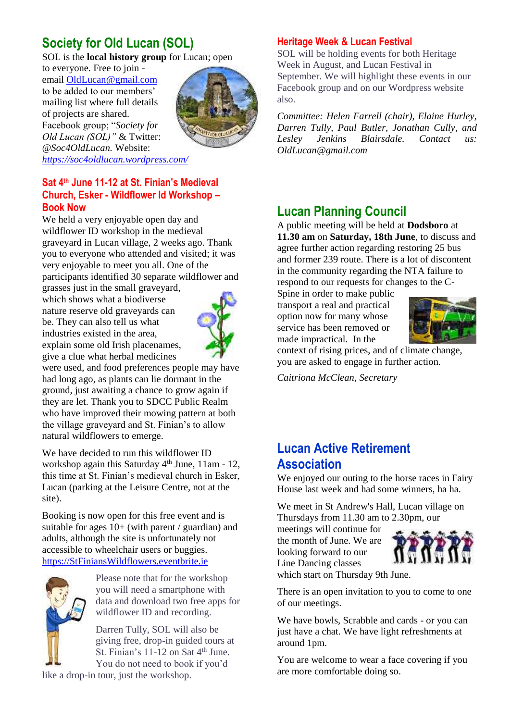## **Society for Old Lucan (SOL)**

SOL is the **local history group** for Lucan; open

to everyone. Free to join email [OldLucan@gmail.com](mailto:OldLucan@gmail.com) to be added to our members' mailing list where full details of projects are shared. Facebook group; "*Society for Old Lucan (SOL)"* & Twitter: *@Soc4OldLucan.* Website: *<https://soc4oldlucan.wordpress.com/>*



#### **Sat 4th June 11-12 at St. Finian's Medieval Church, Esker - Wildflower Id Workshop – Book Now**

We held a very enjoyable open day and wildflower ID workshop in the medieval graveyard in Lucan village, 2 weeks ago. Thank you to everyone who attended and visited; it was very enjoyable to meet you all. One of the participants identified 30 separate wildflower and

grasses just in the small graveyard, which shows what a biodiverse nature reserve old graveyards can be. They can also tell us what industries existed in the area, explain some old Irish placenames, give a clue what herbal medicines



were used, and food preferences people may have had long ago, as plants can lie dormant in the ground, just awaiting a chance to grow again if they are let. Thank you to SDCC Public Realm who have improved their mowing pattern at both the village graveyard and St. Finian's to allow natural wildflowers to emerge.

We have decided to run this wildflower ID workshop again this Saturday  $4<sup>th</sup>$  June, 11am - 12, this time at St. Finian's medieval church in Esker, Lucan (parking at the Leisure Centre, not at the site).

Booking is now open for this free event and is suitable for ages  $10+$  (with parent / guardian) and adults, although the site is unfortunately not accessible to wheelchair users or buggies. [https://StFiniansWildflowers.eventbrite.ie](https://stfinianswildflowers.eventbrite.ie/)



Please note that for the workshop you will need a smartphone with data and download two free apps for wildflower ID and recording.

Darren Tully, SOL will also be giving free, drop-in guided tours at St. Finian's 11-12 on Sat 4<sup>th</sup> June. You do not need to book if you'd

like a drop-in tour, just the workshop.

### **Heritage Week & Lucan Festival**

SOL will be holding events for both Heritage Week in August, and Lucan Festival in September. We will highlight these events in our Facebook group and on our Wordpress website also.

*Committee: Helen Farrell (chair), Elaine Hurley, Darren Tully, Paul Butler, Jonathan Cully, and Lesley Jenkins Blairsdale. Contact us: OldLucan@gmail.com*

### **Lucan Planning Council**

A public meeting will be held at **Dodsboro** at **11.30 am** on **Saturday, 18th June**, to discuss and agree further action regarding restoring 25 bus and former 239 route. There is a lot of discontent in the community regarding the NTA failure to respond to our requests for changes to the C-

Spine in order to make public transport a real and practical option now for many whose service has been removed or made impractical. In the



context of rising prices, and of climate change, you are asked to engage in further action.

*Caitriona McClean, Secretary*

### **Lucan Active Retirement Association**

We enjoyed our outing to the horse races in Fairy House last week and had some winners, ha ha.

We meet in St Andrew's Hall, Lucan village on Thursdays from 11.30 am to 2.30pm, our

meetings will continue for the month of June. We are looking forward to our Line Dancing classes



which start on Thursday 9th June.

There is an open invitation to you to come to one of our meetings.

We have bowls, Scrabble and cards - or you can just have a chat. We have light refreshments at around 1pm.

You are welcome to wear a face covering if you are more comfortable doing so.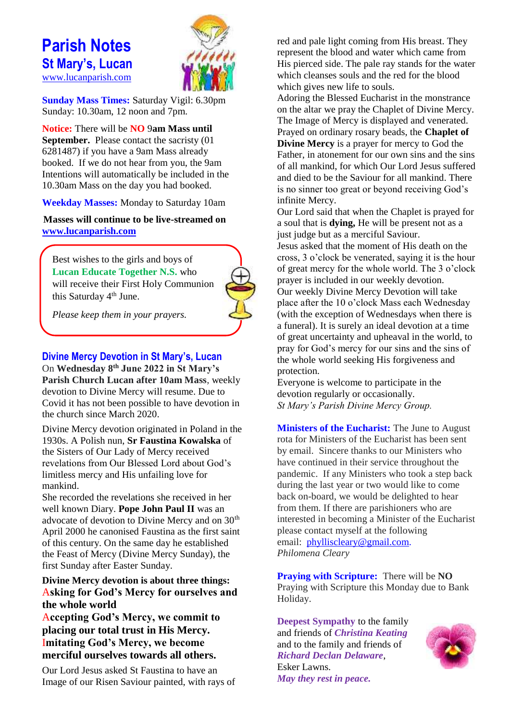### **Parish Notes St Mary's, Lucan**  [www.lucanparish.com](http://www.lucanparish.com/)



**Sunday Mass Times:** Saturday Vigil: 6.30pm Sunday: 10.30am, 12 noon and 7pm.

**Notice:** There will be **NO** 9**am Mass until September.** Please contact the sacristy (01) 6281487) if you have a 9am Mass already booked. If we do not hear from you, the 9am Intentions will automatically be included in the 10.30am Mass on the day you had booked.

**Weekday Masses:** Monday to Saturday 10am

**Masses will continue to be live-streamed on [www.lucanparish.com](http://www.lucanparish.com/)**

Best wishes to the girls and boys of **Lucan Educate Together N.S.** who will receive their First Holy Communion this Saturday 4<sup>th</sup> June.



*Please keep them in your prayers.*

#### **Divine Mercy Devotion in St Mary's, Lucan**

On **Wednesday 8th June 2022 in St Mary's Parish Church Lucan after 10am Mass**, weekly devotion to Divine Mercy will resume. Due to Covid it has not been possible to have devotion in the church since March 2020.

Divine Mercy devotion originated in Poland in the 1930s. A Polish nun, **Sr Faustina Kowalska** of the Sisters of Our Lady of Mercy received revelations from Our Blessed Lord about God's limitless mercy and His unfailing love for mankind.

She recorded the revelations she received in her well known Diary. **Pope John Paul II** was an advocate of devotion to Divine Mercy and on 30<sup>th</sup> April 2000 he canonised Faustina as the first saint of this century. On the same day he established the Feast of Mercy (Divine Mercy Sunday), the first Sunday after Easter Sunday.

#### **Divine Mercy devotion is about three things:** A**sking for God's Mercy for ourselves and the whole world**

A**ccepting God's Mercy, we commit to placing our total trust in His Mercy.** I**mitating God's Mercy, we become merciful ourselves towards all others.**

Our Lord Jesus asked St Faustina to have an Image of our Risen Saviour painted, with rays of red and pale light coming from His breast. They represent the blood and water which came from His pierced side. The pale ray stands for the water which cleanses souls and the red for the blood which gives new life to souls.

Adoring the Blessed Eucharist in the monstrance on the altar we pray the Chaplet of Divine Mercy. The Image of Mercy is displayed and venerated. Prayed on ordinary rosary beads, the **Chaplet of Divine Mercy** is a prayer for mercy to God the Father, in atonement for our own sins and the sins of all mankind, for which Our Lord Jesus suffered and died to be the Saviour for all mankind. There is no sinner too great or beyond receiving God's infinite Mercy.

Our Lord said that when the Chaplet is prayed for a soul that is **dying,** He will be present not as a just judge but as a merciful Saviour.

Jesus asked that the moment of His death on the cross, 3 o'clock be venerated, saying it is the hour of great mercy for the whole world. The 3 o'clock prayer is included in our weekly devotion. Our weekly Divine Mercy Devotion will take place after the 10 o'clock Mass each Wednesday (with the exception of Wednesdays when there is a funeral). It is surely an ideal devotion at a time of great uncertainty and upheaval in the world, to pray for God's mercy for our sins and the sins of the whole world seeking His forgiveness and protection.

Everyone is welcome to participate in the devotion regularly or occasionally. *St Mary's Parish Divine Mercy Group.*

**Ministers of the Eucharist:** The June to August rota for Ministers of the Eucharist has been sent by email. Sincere thanks to our Ministers who have continued in their service throughout the pandemic. If any Ministers who took a step back during the last year or two would like to come back on-board, we would be delighted to hear from them. If there are parishioners who are interested in becoming a Minister of the Eucharist please contact myself at the following email: [phylliscleary@gmail.com.](mailto:phylliscleary@gmail.com) *Philomena Cleary*

**Praying with Scripture:** There will be **NO**  Praying with Scripture this Monday due to Bank Holiday.

**Deepest Sympathy** to the family and friends of *Christina Keating* and to the family and friends of *Richard Declan Delaware*, Esker Lawns. *May they rest in peace.* 

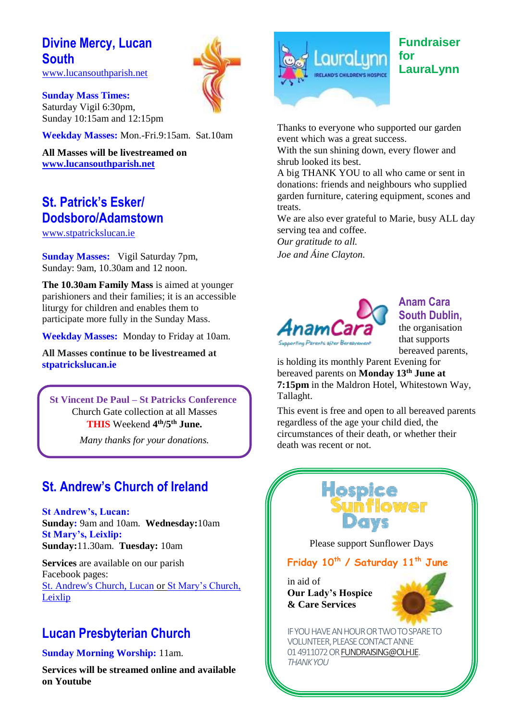## **Divine Mercy, Lucan South**

[www.lucansouthparish.net](http://www.lucansouthparish.net/)

**Sunday Mass Times:**  Saturday Vigil 6:30pm, Sunday 10:15am and 12:15pm

**Weekday Masses:** Mon.-Fri.9:15am. Sat.10am

**All Masses will be livestreamed on [www.lucansouthparish.net](http://www.lucansouthparish.net/)**

### **St. Patrick's Esker/ Dodsboro/Adamstown**

[www.stpatrickslucan.ie](http://www.stpatrickslucan.ie/)

**Sunday Masses:** Vigil Saturday 7pm, Sunday: 9am, 10.30am and 12 noon.

**The 10.30am Family Mass** is aimed at younger parishioners and their families; it is an accessible liturgy for children and enables them to participate more fully in the Sunday Mass.

**Weekday Masses:** Monday to Friday at 10am.

**All Masses continue to be livestreamed at stpatrickslucan.ie**

**St Vincent De Paul – St Patricks Conference** Church Gate collection at all Masses **THIS** Weekend **4 th/5th June.**

*Many thanks for your donations.*

### **St. Andrew's Church of Ireland**

**St Andrew's, Lucan: Sunday:** 9am and 10am. **Wednesday:**10am **St Mary's, Leixlip: Sunday:**11.30am. **Tuesday:** 10am

**Services** are available on our parish Facebook pages: [St. Andrew's Church, Lucan](https://www.facebook.com/standrewslucan/) or [St Mary's Church,](https://www.facebook.com/stmarysleixlip/)  [Leixlip](https://www.facebook.com/stmarysleixlip/)

### **Lucan Presbyterian Church**

**Sunday Morning Worship:** 11am.

**Services will be streamed online and available on Youtube**



### **Fundraiser for LauraLynn**

Thanks to everyone who supported our garden event which was a great success.

With the sun shining down, every flower and shrub looked its best.

A big THANK YOU to all who came or sent in donations: friends and neighbours who supplied garden furniture, catering equipment, scones and treats.

We are also ever grateful to Marie, busy ALL day serving tea and coffee.

*Our gratitude to all. Joe and Áine Clayton.* 



### **Anam Cara South Dublin,**

the organisation that supports bereaved parents,

is holding its monthly Parent Evening for bereaved parents on **Monday 13th June at 7:15pm** in the Maldron Hotel, Whitestown Way, Tallaght.

This event is free and open to all bereaved parents regardless of the age your child died, the circumstances of their death, or whether their death was recent or not.



Please support Sunflower Days

#### **Friday 10th / Saturday 11th June**

in aid of **Our Lady's Hospice & Care Services**



IF YOU HAVE AN HOUR OR TWO TO SPARE TO VOLUNTEER, PLEASE CONTACT ANNE 01 4911072 O[R FUNDRAISING@OLH.IE.](mailto:fundraising@olh.ie)  *THANK YOU*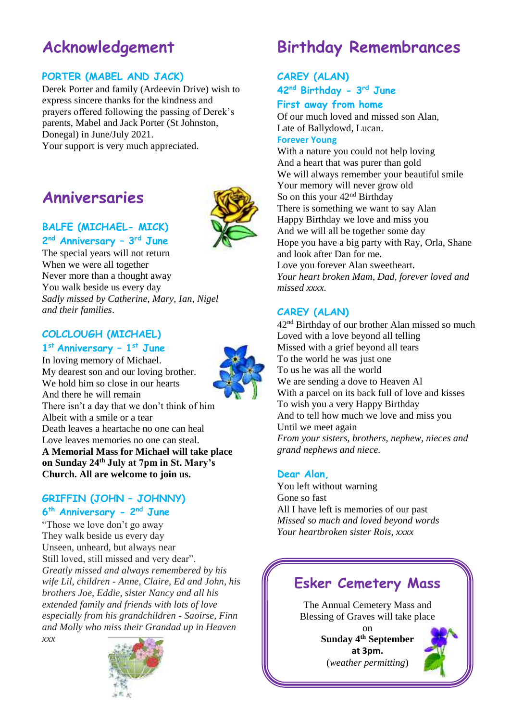# **Acknowledgement**

#### **PORTER (MABEL AND JACK)**

Derek Porter and family (Ardeevin Drive) wish to express sincere thanks for the kindness and prayers offered following the passing of Derek's parents, Mabel and Jack Porter (St Johnston, Donegal) in June/July 2021. Your support is very much appreciated.

# **Anniversaries**



#### **BALFE (MICHAEL- MICK) 2 nd Anniversary – 3 rd June**

The special years will not return When we were all together Never more than a thought away You walk beside us every day *Sadly missed by Catherine, Mary, Ian, Nigel and their families*.

### **COLCLOUGH (MICHAEL)**

#### **1 st Anniversary – 1 st June**

In loving memory of Michael. My dearest son and our loving brother. We hold him so close in our hearts And there he will remain There isn't a day that we don't think of him Albeit with a smile or a tear Death leaves a heartache no one can heal Love leaves memories no one can steal. **A Memorial Mass for Michael will take place on Sunday 24th July at 7pm in St. Mary's Church. All are welcome to join us.**

#### **GRIFFIN (JOHN – JOHNNY) 6 th Anniversary - 2 nd June**

"Those we love don't go away They walk beside us every day Unseen, unheard, but always near Still loved, still missed and very dear". *Greatly missed and always remembered by his wife Lil, children - Anne, Claire, Ed and John, his brothers Joe, Eddie, sister Nancy and all his extended family and friends with lots of love especially from his grandchildren - Saoirse, Finn and Molly who miss their Grandad up in Heaven xxx*



# **Birthday Remembrances**

#### **CAREY (ALAN) 42nd Birthday - 3 rd June First away from home**

Of our much loved and missed son Alan, Late of Ballydowd, Lucan.

#### **Forever Young**

With a nature you could not help loving And a heart that was purer than gold We will always remember your beautiful smile Your memory will never grow old So on this your 42<sup>nd</sup> Birthday There is something we want to say Alan Happy Birthday we love and miss you And we will all be together some day Hope you have a big party with Ray, Orla, Shane and look after Dan for me. Love you forever Alan sweetheart. *Your heart broken Mam, Dad, forever loved and missed xxxx.*

#### **CAREY (ALAN)**

42nd Birthday of our brother Alan missed so much Loved with a love beyond all telling Missed with a grief beyond all tears To the world he was just one To us he was all the world We are sending a dove to Heaven Al With a parcel on its back full of love and kisses To wish you a very Happy Birthday And to tell how much we love and miss you Until we meet again *From your sisters, brothers, nephew, nieces and grand nephews and niece.*

#### **Dear Alan,**

You left without warning Gone so fast All I have left is memories of our past *Missed so much and loved beyond words Your heartbroken sister Rois, xxxx*

## **Esker Cemetery Mass**

The Annual Cemetery Mass and Blessing of Graves will take place

> on **Sunday 4th September at 3pm.** (*weather permitting*)

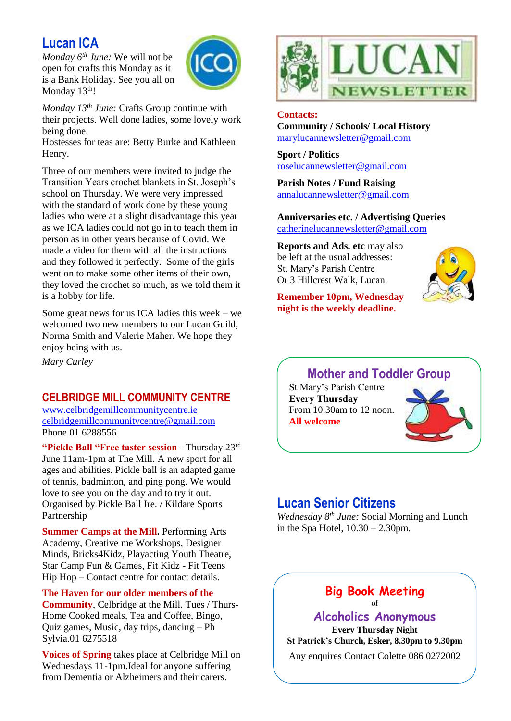### **Lucan ICA**

*Monday 6th June:* We will not be open for crafts this Monday as it is a Bank Holiday. See you all on Monday 13<sup>th</sup>!



*Monday 13th June:* Crafts Group continue with their projects. Well done ladies, some lovely work being done.

Hostesses for teas are: Betty Burke and Kathleen Henry.

Three of our members were invited to judge the Transition Years crochet blankets in St. Joseph's school on Thursday. We were very impressed with the standard of work done by these young ladies who were at a slight disadvantage this year as we ICA ladies could not go in to teach them in person as in other years because of Covid. We made a video for them with all the instructions and they followed it perfectly. Some of the girls went on to make some other items of their own, they loved the crochet so much, as we told them it is a hobby for life.

Some great news for us ICA ladies this week – we welcomed two new members to our Lucan Guild, Norma Smith and Valerie Maher. We hope they enjoy being with us.

*Mary Curley*

#### **CELBRIDGE MILL COMMUNITY CENTRE**

[www.celbridgemillcommunitycentre.ie](http://www.celbridgemillcommunitycentre.ie/) [celbridgemillcommunitycentre@gmail.com](mailto:celbridgemillcommunitycentre@gmail.com) Phone 01 6288556

**"Pickle Ball "Free taster session** - Thursday 23rd June 11am-1pm at The Mill. A new sport for all ages and abilities. Pickle ball is an adapted game of tennis, badminton, and ping pong. We would love to see you on the day and to try it out. Organised by Pickle Ball Ire. / Kildare Sports Partnership

**Summer Camps at the Mill.** Performing Arts Academy, Creative me Workshops, Designer Minds, Bricks4Kidz, Playacting Youth Theatre, Star Camp Fun & Games, Fit Kidz - Fit Teens Hip Hop – Contact centre for contact details.

**The Haven for our older members of the Community**, Celbridge at the Mill. Tues / Thurs-Home Cooked meals, Tea and Coffee, Bingo, Quiz games, Music, day trips, dancing – Ph Sylvia.01 6275518

**Voices of Spring** takes place at Celbridge Mill on Wednesdays 11-1pm.Ideal for anyone suffering from Dementia or Alzheimers and their carers.



#### **Contacts:**

**Community / Schools/ Local History**  [marylucannewsletter@gmail.com](mailto:marylucannewsletter@gmail.com) 

**Sport / Politics** [roselucannewsletter@gmail.com](mailto:roselucannewsletter@gmail.com)

**Parish Notes / Fund Raising** [annalucannewsletter@gmail.com](mailto:annalucannewsletter@gmail.com)

**Anniversaries etc. / Advertising Queries**  [catherinelucannewsletter@gmail.com](mailto:catherinelucannewsletter@gmail.com)

**Reports and Ads. etc** may also be left at the usual addresses: St. Mary's Parish Centre Or 3 Hillcrest Walk, Lucan.

**Remember 10pm, Wednesday night is the weekly deadline.** 



### **Mother and Toddler Group**

St Mary's Parish Centre **Every Thursday**  From 10.30am to 12 noon. **All welcome**



### **Lucan Senior Citizens**

*Wednesday 8th June:* Social Morning and Lunch in the Spa Hotel, 10.30 – 2.30pm.

#### **Big Book Meeting**  of

**Alcoholics Anonymous Every Thursday Night St Patrick's Church, Esker, 8.30pm to 9.30pm** Any enquires Contact Colette 086 0272002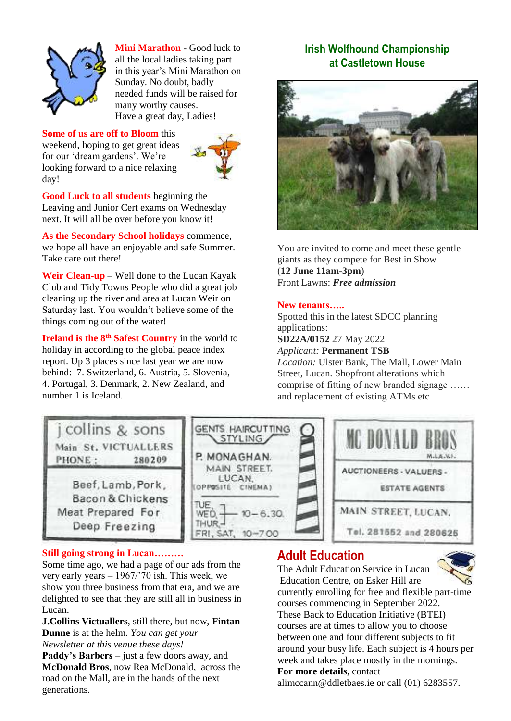

**Mini Marathon -** Good luck to all the local ladies taking part in this year's Mini Marathon on Sunday. No doubt, badly needed funds will be raised for many worthy causes. Have a great day, Ladies!

#### **Some of us are off to Bloom** this

weekend, hoping to get great ideas for our 'dream gardens'. We're looking forward to a nice relaxing day!



**Good Luck to all students** beginning the Leaving and Junior Cert exams on Wednesday next. It will all be over before you know it!

**As the Secondary School holidays** commence, we hope all have an enjoyable and safe Summer. Take care out there!

**Weir Clean-up** – Well done to the Lucan Kayak Club and Tidy Towns People who did a great job cleaning up the river and area at Lucan Weir on Saturday last. You wouldn't believe some of the things coming out of the water!

**Ireland is the 8th Safest Country** in the world to holiday in according to the global peace index report. Up 3 places since last year we are now behind: 7. Switzerland, 6. Austria, 5. Slovenia, 4. Portugal, 3. Denmark, 2. New Zealand, and number 1 is Iceland.

### **Irish Wolfhound Championship at Castletown House**



You are invited to come and meet these gentle giants as they compete for Best in Show (**12 June 11am-3pm**) Front Lawns: *Free admission*

#### **New tenants…..**

Spotted this in the latest SDCC planning applications:

**SD22A/0152** 27 May 2022

*Applicant:* **Permanent TSB** *Location:* Ulster Bank, The Mall, Lower Main Street, Lucan. Shopfront alterations which comprise of fitting of new branded signage …… and replacement of existing ATMs etc



#### **Still going strong in Lucan………**

Some time ago, we had a page of our ads from the very early years – 1967/'70 ish. This week, we show you three business from that era, and we are delighted to see that they are still all in business in Lucan.

**J.Collins Victuallers**, still there, but now, **Fintan Dunne** is at the helm. *You can get your Newsletter at this venue these days!*

**Paddy's Barbers** – just a few doors away, and **McDonald Bros**, now Rea McDonald, across the road on the Mall, are in the hands of the next generations.

### **Adult Education**



The Adult Education Service in Lucan Education Centre, on Esker Hill are currently enrolling for free and flexible part-time courses commencing in September 2022. These Back to Education Initiative (BTEI) courses are at times to allow you to choose between one and four different subjects to fit around your busy life. Each subject is 4 hours per week and takes place mostly in the mornings. **For more details**, contact

alimccann@ddletbaes.ie or call (01) 6283557.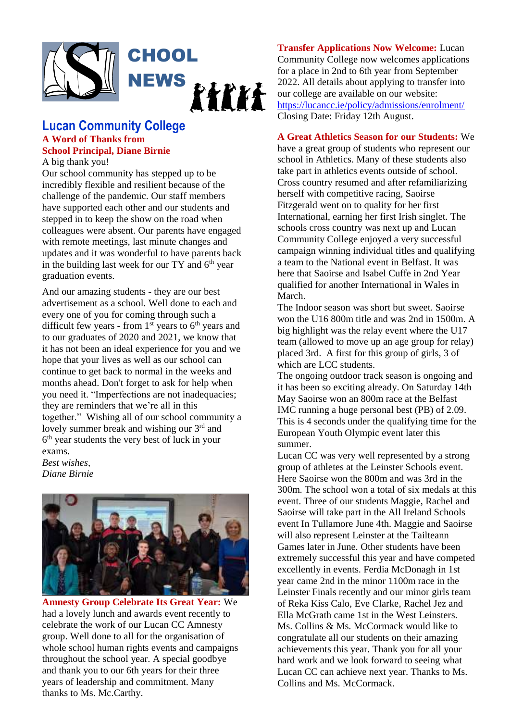

### **Lucan Community College A Word of Thanks from School Principal, Diane Birnie**

A big thank you!

Our school community has stepped up to be incredibly flexible and resilient because of the challenge of the pandemic. Our staff members have supported each other and our students and stepped in to keep the show on the road when colleagues were absent. Our parents have engaged with remote meetings, last minute changes and updates and it was wonderful to have parents back in the building last week for our  $TY$  and  $6<sup>th</sup>$  year graduation events.

And our amazing students - they are our best advertisement as a school. Well done to each and every one of you for coming through such a difficult few years - from  $1<sup>st</sup>$  years to  $6<sup>th</sup>$  years and to our graduates of 2020 and 2021, we know that it has not been an ideal experience for you and we hope that your lives as well as our school can continue to get back to normal in the weeks and months ahead. Don't forget to ask for help when you need it. "Imperfections are not inadequacies; they are reminders that we're all in this together." Wishing all of our school community a lovely summer break and wishing our 3rd and 6<sup>th</sup> year students the very best of luck in your exams.

*Best wishes, Diane Birnie*



**Amnesty Group Celebrate Its Great Year:** We had a lovely lunch and awards event recently to celebrate the work of our Lucan CC Amnesty group. Well done to all for the organisation of whole school human rights events and campaigns throughout the school year. A special goodbye and thank you to our 6th years for their three years of leadership and commitment. Many thanks to Ms. Mc.Carthy.

**Transfer Applications Now Welcome:** Lucan Community College now welcomes applications for a place in 2nd to 6th year from September 2022. All details about applying to transfer into our college are available on our website: <https://lucancc.ie/policy/admissions/enrolment/> Closing Date: Friday 12th August.

#### **A Great Athletics Season for our Students:** We

have a great group of students who represent our school in Athletics. Many of these students also take part in athletics events outside of school. Cross country resumed and after refamiliarizing herself with competitive racing, Saoirse Fitzgerald went on to quality for her first International, earning her first Irish singlet. The schools cross country was next up and Lucan Community College enjoyed a very successful campaign winning individual titles and qualifying a team to the National event in Belfast. It was here that Saoirse and Isabel Cuffe in 2nd Year qualified for another International in Wales in March.

The Indoor season was short but sweet. Saoirse won the U16 800m title and was 2nd in 1500m. A big highlight was the relay event where the U17 team (allowed to move up an age group for relay) placed 3rd. A first for this group of girls, 3 of which are LCC students.

The ongoing outdoor track season is ongoing and it has been so exciting already. On Saturday 14th May Saoirse won an 800m race at the Belfast IMC running a huge personal best (PB) of 2.09. This is 4 seconds under the qualifying time for the European Youth Olympic event later this summer.

Lucan CC was very well represented by a strong group of athletes at the Leinster Schools event. Here Saoirse won the 800m and was 3rd in the 300m. The school won a total of six medals at this event. Three of our students Maggie, Rachel and Saoirse will take part in the All Ireland Schools event In Tullamore June 4th. Maggie and Saoirse will also represent Leinster at the Tailteann Games later in June. Other students have been extremely successful this year and have competed excellently in events. Ferdia McDonagh in 1st year came 2nd in the minor 1100m race in the Leinster Finals recently and our minor girls team of Reka Kiss Calo, Eve Clarke, Rachel Jez and Ella McGrath came 1st in the West Leinsters. Ms. Collins & Ms. McCormack would like to congratulate all our students on their amazing achievements this year. Thank you for all your hard work and we look forward to seeing what Lucan CC can achieve next year. Thanks to Ms. Collins and Ms. McCormack.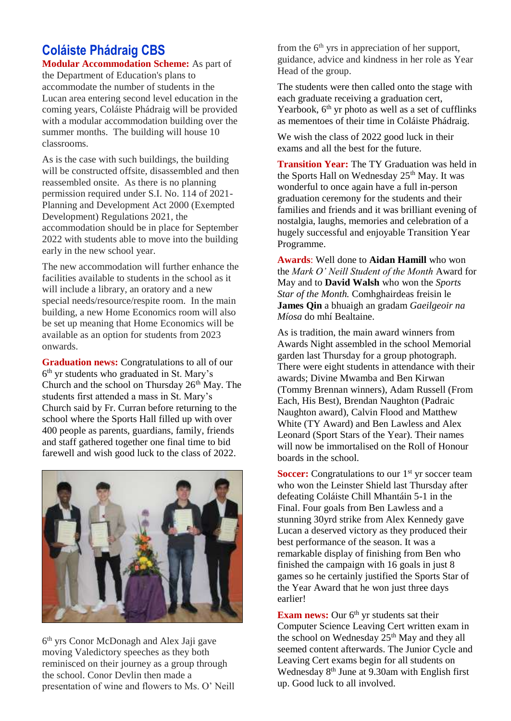### **Coláiste Phádraig CBS**

**Modular Accommodation Scheme:** As part of the Department of Education's plans to accommodate the number of students in the Lucan area entering second level education in the coming years, Coláiste Phádraig will be provided with a modular accommodation building over the summer months. The building will house 10 classrooms.

As is the case with such buildings, the building will be constructed offsite, disassembled and then reassembled onsite. As there is no planning permission required under S.I. No. 114 of 2021- Planning and Development Act 2000 (Exempted Development) Regulations 2021, the accommodation should be in place for September 2022 with students able to move into the building early in the new school year.

The new accommodation will further enhance the facilities available to students in the school as it will include a library, an oratory and a new special needs/resource/respite room. In the main building, a new Home Economics room will also be set up meaning that Home Economics will be available as an option for students from 2023 onwards.

**Graduation news:** Congratulations to all of our 6 th yr students who graduated in St. Mary's Church and the school on Thursday  $26<sup>th</sup>$  May. The students first attended a mass in St. Mary's Church said by Fr. Curran before returning to the school where the Sports Hall filled up with over 400 people as parents, guardians, family, friends and staff gathered together one final time to bid farewell and wish good luck to the class of 2022.



6 th yrs Conor McDonagh and Alex Jaji gave moving Valedictory speeches as they both reminisced on their journey as a group through the school. Conor Devlin then made a presentation of wine and flowers to Ms. O' Neill from the  $6<sup>th</sup>$  yrs in appreciation of her support, guidance, advice and kindness in her role as Year Head of the group.

The students were then called onto the stage with each graduate receiving a graduation cert, Yearbook,  $6<sup>th</sup>$  yr photo as well as a set of cufflinks as mementoes of their time in Coláiste Phádraig.

We wish the class of 2022 good luck in their exams and all the best for the future.

**Transition Year:** The TY Graduation was held in the Sports Hall on Wednesday 25<sup>th</sup> May. It was wonderful to once again have a full in-person graduation ceremony for the students and their families and friends and it was brilliant evening of nostalgia, laughs, memories and celebration of a hugely successful and enjoyable Transition Year Programme.

**Awards**: Well done to **Aidan Hamill** who won the *Mark O' Neill Student of the Month* Award for May and to **David Walsh** who won the *Sports Star of the Month.* Comhghairdeas freisin le **James Qin** a bhuaigh an gradam *Gaeilgeoir na Míosa* do mhí Bealtaine.

As is tradition, the main award winners from Awards Night assembled in the school Memorial garden last Thursday for a group photograph. There were eight students in attendance with their awards; Divine Mwamba and Ben Kirwan (Tommy Brennan winners), Adam Russell (From Each, His Best), Brendan Naughton (Padraic Naughton award), Calvin Flood and Matthew White (TY Award) and Ben Lawless and Alex Leonard (Sport Stars of the Year). Their names will now be immortalised on the Roll of Honour boards in the school.

**Soccer:** Congratulations to our 1<sup>st</sup> yr soccer team who won the Leinster Shield last Thursday after defeating Coláiste Chill Mhantáin 5-1 in the Final. Four goals from Ben Lawless and a stunning 30yrd strike from Alex Kennedy gave Lucan a deserved victory as they produced their best performance of the season. It was a remarkable display of finishing from Ben who finished the campaign with 16 goals in just 8 games so he certainly justified the Sports Star of the Year Award that he won just three days earlier!

**Exam news:** Our 6<sup>th</sup> yr students sat their Computer Science Leaving Cert written exam in the school on Wednesday 25<sup>th</sup> May and they all seemed content afterwards. The Junior Cycle and Leaving Cert exams begin for all students on Wednesday 8<sup>th</sup> June at 9.30am with English first up. Good luck to all involved.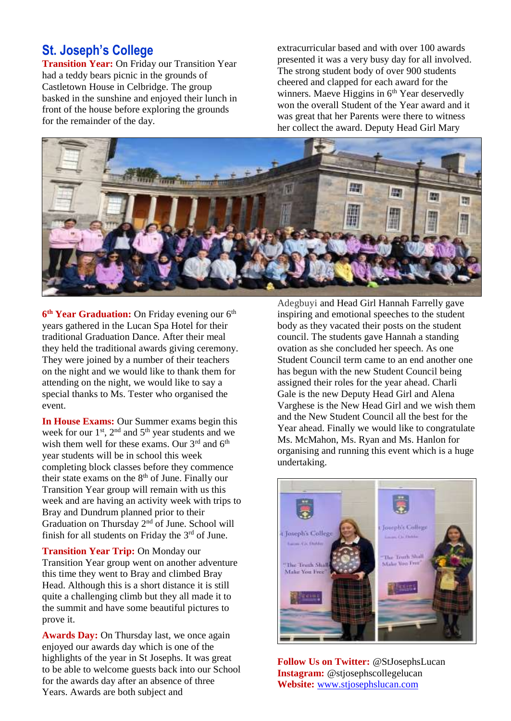### **St. Joseph's College**

**Transition Year:** On Friday our Transition Year had a teddy bears picnic in the grounds of Castletown House in Celbridge. The group basked in the sunshine and enjoyed their lunch in front of the house before exploring the grounds for the remainder of the day.

extracurricular based and with over 100 awards presented it was a very busy day for all involved. The strong student body of over 900 students cheered and clapped for each award for the winners. Maeve Higgins in  $6<sup>th</sup>$  Year deservedly won the overall Student of the Year award and it was great that her Parents were there to witness her collect the award. Deputy Head Girl Mary



6<sup>th</sup> Year Graduation: On Friday evening our 6<sup>th</sup> years gathered in the Lucan Spa Hotel for their traditional Graduation Dance. After their meal they held the traditional awards giving ceremony. They were joined by a number of their teachers on the night and we would like to thank them for attending on the night, we would like to say a special thanks to Ms. Tester who organised the event.

**In House Exams:** Our Summer exams begin this week for our  $1^{st}$ ,  $2^{nd}$  and  $5^{th}$  year students and we wish them well for these exams. Our  $3<sup>rd</sup>$  and  $6<sup>th</sup>$ year students will be in school this week completing block classes before they commence their state exams on the  $8<sup>th</sup>$  of June. Finally our Transition Year group will remain with us this week and are having an activity week with trips to Bray and Dundrum planned prior to their Graduation on Thursday 2nd of June. School will finish for all students on Friday the  $3<sup>rd</sup>$  of June.

**Transition Year Trip:** On Monday our Transition Year group went on another adventure this time they went to Bray and climbed Bray Head. Although this is a short distance it is still quite a challenging climb but they all made it to the summit and have some beautiful pictures to prove it.

**Awards Day:** On Thursday last, we once again enjoyed our awards day which is one of the highlights of the year in St Josephs. It was great to be able to welcome guests back into our School for the awards day after an absence of three Years. Awards are both subject and

Adegbuyi and Head Girl Hannah Farrelly gave inspiring and emotional speeches to the student body as they vacated their posts on the student council. The students gave Hannah a standing ovation as she concluded her speech. As one Student Council term came to an end another one has begun with the new Student Council being assigned their roles for the year ahead. Charli Gale is the new Deputy Head Girl and Alena Varghese is the New Head Girl and we wish them and the New Student Council all the best for the Year ahead. Finally we would like to congratulate Ms. McMahon, Ms. Ryan and Ms. Hanlon for organising and running this event which is a huge undertaking.



**Follow Us on Twitter:** @StJosephsLucan **Instagram:** @stjosephscollegelucan **Website:** [www.stjosephslucan.com](http://www.stjosephslucan.com/)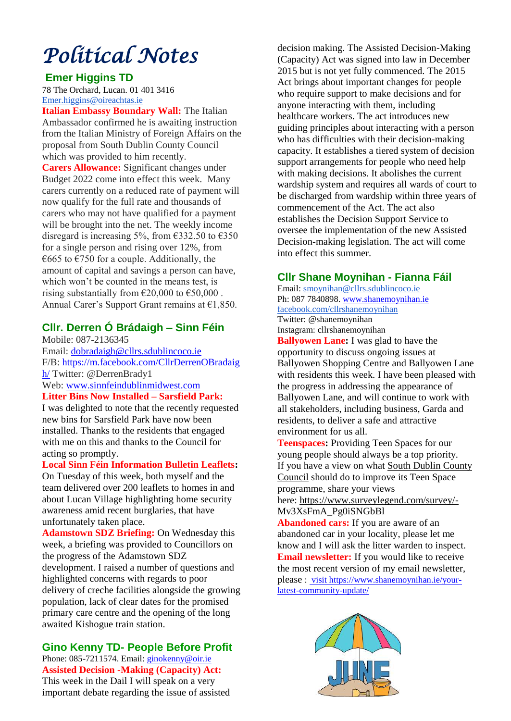# *Political Notes*

#### **Emer Higgins TD**

78 The Orchard, Lucan. [01 401 3416](tel:014013416) [Emer.higgins@oireachtas.ie](mailto:Emer.higgins@oireachtas.ie)

**Italian Embassy Boundary Wall:** The Italian Ambassador confirmed he is awaiting instruction from the Italian Ministry of Foreign Affairs on the proposal from South Dublin County Council which was provided to him recently.

**Carers Allowance:** Significant changes under Budget 2022 come into effect this week. Many carers currently on a reduced rate of payment will now qualify for the full rate and thousands of carers who may not have qualified for a payment will be brought into the net. The weekly income disregard is increasing 5%, from  $\epsilon$ 332.50 to  $\epsilon$ 350 for a single person and rising over 12%, from  $\epsilon$ 665 to  $\epsilon$ 750 for a couple. Additionally, the amount of capital and savings a person can have, which won't be counted in the means test, is rising substantially from  $\epsilon$ 20,000 to  $\epsilon$ 50,000. Annual Carer's Support Grant remains at  $£1,850$ .

### **Cllr. Derren Ó Brádaigh – Sinn Féin**

Mobile: 087-2136345 Email: [dobradaigh@cllrs.sdublincoco.ie](mailto:dobradaigh@cllrs.sdublincoco.ie) F/B: [https://m.facebook.com/CllrDerrenOBradaig](https://m.facebook.com/CllrDerrenOBradaigh/) [h/](https://m.facebook.com/CllrDerrenOBradaigh/) Twitter: @DerrenBrady1 Web: [www.sinnfeindublinmidwest.com](http://www.sinnfeindublinmidwest.com/) **Litter Bins Now Installed – Sarsfield Park:**

I was delighted to note that the recently requested new bins for Sarsfield Park have now been installed. Thanks to the residents that engaged with me on this and thanks to the Council for acting so promptly.

#### **Local Sinn Féin Information Bulletin Leaflets:**

On Tuesday of this week, both myself and the team delivered over 200 leaflets to homes in and about Lucan Village highlighting home security awareness amid recent burglaries, that have unfortunately taken place.

**Adamstown SDZ Briefing:** On Wednesday this week, a briefing was provided to Councillors on the progress of the Adamstown SDZ development. I raised a number of questions and highlighted concerns with regards to poor delivery of creche facilities alongside the growing population, lack of clear dates for the promised primary care centre and the opening of the long awaited Kishogue train station.

#### **Gino Kenny TD- People Before Profit**  Phone: 085-7211574. Email[: ginokenny@oir.ie](mailto:ginokenny@oir.ie) **Assisted Decision -Making (Capacity) Act:**

This week in the Dail I will speak on a very important debate regarding the issue of assisted decision making. The Assisted Decision-Making (Capacity) Act was signed into law in December 2015 but is not yet fully commenced. The 2015 Act brings about important changes for people who require support to make decisions and for anyone interacting with them, including healthcare workers. The act introduces new guiding principles about interacting with a person who has difficulties with their decision-making capacity. It establishes a tiered system of decision support arrangements for people who need help with making decisions. It abolishes the current wardship system and requires all wards of court to be discharged from wardship within three years of commencement of the Act. The act also establishes the Decision Support Service to oversee the implementation of the new Assisted Decision-making legislation. The act will come into effect this summer.

### **Cllr Shane Moynihan - Fianna Fáil**

Email: [smoynihan@cllrs.sdublincoco.ie](mailto:smoynihan@cllrs.sdublincoco.ie) Ph: 087 7840898. [www.shanemoynihan.ie](http://www.shanemoynihan.ie/) [facebook.com/cllrshanemoynihan](http://facebook.com/cllrshanemoynihan) Twitter: @shanemoynihan Instagram: cllrshanemoynihan

**Ballyowen Lane:** I was glad to have the opportunity to discuss ongoing issues at Ballyowen Shopping Centre and Ballyowen Lane with residents this week. I have been pleased with the progress in addressing the appearance of Ballyowen Lane, and will continue to work with all stakeholders, including business, Garda and residents, to deliver a safe and attractive environment for us all.

**Teenspaces:** Providing Teen Spaces for our young people should always be a top priority. If you have a view on what South Dublin [County](https://www.facebook.com/SouthDublinCountyCouncil?__cft__%5b0%5d=AZW8bv8XK1_5eKuf7FLr7fRyaTDbRRfGrU9CzJQx1866rrtQgFFKXWVHvUXX-uVYIizWwkt1DAYIjZNR1tUMqpq1fuxKGlLcjHN1ZoFRSXSxSZk3jhoOl_LnNt29MDPSz8Dx-KVehi_Vm6Sw5eu1kgN_BalUH15CSPe-AusDJ00qFQ&__tn__=-%5dK-R) [Council](https://www.facebook.com/SouthDublinCountyCouncil?__cft__%5b0%5d=AZW8bv8XK1_5eKuf7FLr7fRyaTDbRRfGrU9CzJQx1866rrtQgFFKXWVHvUXX-uVYIizWwkt1DAYIjZNR1tUMqpq1fuxKGlLcjHN1ZoFRSXSxSZk3jhoOl_LnNt29MDPSz8Dx-KVehi_Vm6Sw5eu1kgN_BalUH15CSPe-AusDJ00qFQ&__tn__=-%5dK-R) should do to improve its Teen Space programme, share your views here: [https://www.surveylegend.com/survey/-](https://www.surveylegend.com/survey/-Mv3XsFmA_Pg0iSNGbBl?fbclid=IwAR240joUn7W7mLCT-lMUH7fYjPMMcRImTYB2trgHHLzjiPFLFgP1H-dBXZI)

[Mv3XsFmA\\_Pg0iSNGbBl](https://www.surveylegend.com/survey/-Mv3XsFmA_Pg0iSNGbBl?fbclid=IwAR240joUn7W7mLCT-lMUH7fYjPMMcRImTYB2trgHHLzjiPFLFgP1H-dBXZI)

**Abandoned cars:** If you are aware of an abandoned car in your locality, please let me know and I will ask the litter warden to inspect. **Email newsletter:** If you would like to receive the most recent version of my email newsletter, please : visit https://www.shanemoynihan.ie/yourlatest-community-update/

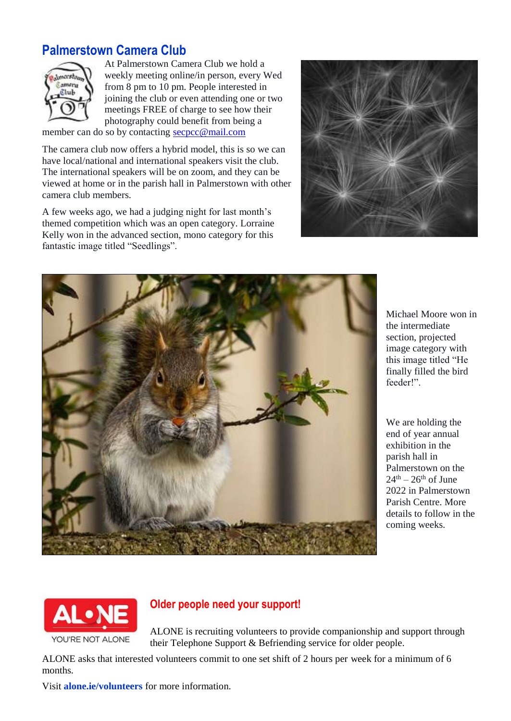### **Palmerstown Camera Club**



At Palmerstown Camera Club we hold a weekly meeting online/in person, every Wed from 8 pm to 10 pm. People interested in joining the club or even attending one or two meetings FREE of charge to see how their photography could benefit from being a

member can do so by contactin[g secpcc@mail.com](mailto:secpcc@mail.com)

The camera club now offers a hybrid model, this is so we can have local/national and international speakers visit the club. The international speakers will be on zoom, and they can be viewed at home or in the parish hall in Palmerstown with other camera club members.

A few weeks ago, we had a judging night for last month's themed competition which was an open category. Lorraine Kelly won in the advanced section, mono category for this fantastic image titled "Seedlings".





Michael Moore won in the intermediate section, projected image category with this image titled "He finally filled the bird feeder!".

We are holding the end of year annual exhibition in the parish hall in Palmerstown on the  $24<sup>th</sup> - 26<sup>th</sup>$  of June 2022 in Palmerstown Parish Centre. More details to follow in the coming weeks.



### **Older people need your support!**

ALONE is recruiting volunteers to provide companionship and support through their Telephone Support & Befriending service for older people.

ALONE asks that interested volunteers commit to one set shift of 2 hours per week for a minimum of 6 months.

Visit **alone.ie/volunteers** for more information.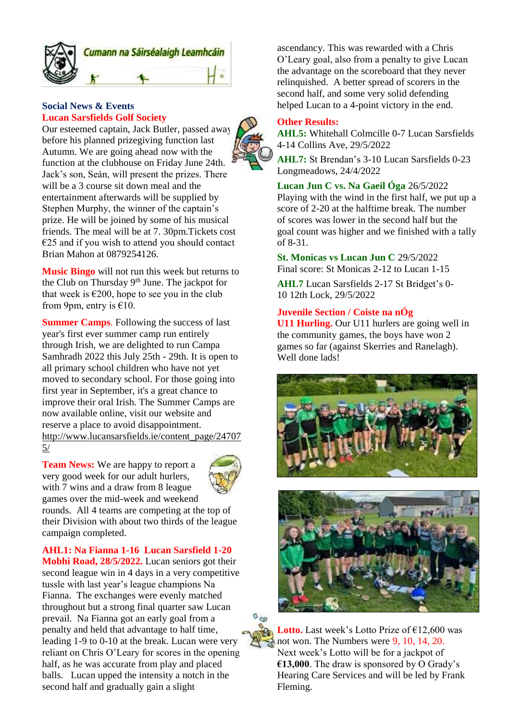

#### **Social News & Events Lucan Sarsfields Golf Society**

Our esteemed captain, Jack Butler, passed away before his planned prizegiving function last Autumn. We are going ahead now with the function at the clubhouse on Friday June 24th. Jack's son, Seán, will present the prizes. There will be a 3 course sit down meal and the entertainment afterwards will be supplied by Stephen Murphy, the winner of the captain's prize. He will be joined by some of his musical friends. The meal will be at 7. 30pm.Tickets cost €25 and if you wish to attend you should contact Brian Mahon at 0879254126.

**Music Bingo** will not run this week but returns to the Club on Thursday 9<sup>th</sup> June. The jackpot for that week is  $\epsilon$ 200, hope to see you in the club from 9pm, entry is  $€10$ .

**Summer Camps**. Following the success of last year's first ever summer camp run entirely through Irish, we are delighted to run Campa Samhradh 2022 this July 25th - 29th. It is open to all primary school children who have not yet moved to secondary school. For those going into first year in September, it's a great chance to improve their oral Irish. The Summer Camps are now available online, visit our website and reserve a place to avoid disappointment. [http://www.lucansarsfields.ie/content\\_page/24707](http://www.lucansarsfields.ie/content_page/247075/) [5/](http://www.lucansarsfields.ie/content_page/247075/)

**Team News:** We are happy to report a very good week for our adult hurlers, with 7 wins and a draw from 8 league games over the mid-week and weekend



rounds. All 4 teams are competing at the top of their Division with about two thirds of the league campaign completed.

**AHL1: Na Fianna 1-16 Lucan Sarsfield 1-20 Mobhi Road, 28/5/2022.** Lucan seniors got their second league win in 4 days in a very competitive tussle with last year's league champions Na Fianna. The exchanges were evenly matched throughout but a strong final quarter saw Lucan prevail. Na Fianna got an early goal from a penalty and held that advantage to half time, leading 1-9 to 0-10 at the break. Lucan were very reliant on Chris O'Leary for scores in the opening half, as he was accurate from play and placed balls. Lucan upped the intensity a notch in the second half and gradually gain a slight

ascendancy. This was rewarded with a Chris O'Leary goal, also from a penalty to give Lucan the advantage on the scoreboard that they never relinquished. A better spread of scorers in the second half, and some very solid defending helped Lucan to a 4-point victory in the end.

#### **Other Results:**

**AHL5:** Whitehall Colmcille 0-7 Lucan Sarsfields 4-14 Collins Ave, 29/5/2022

**AHL7:** St Brendan's 3-10 Lucan Sarsfields 0-23 Longmeadows, 24/4/2022

#### **Lucan Jun C vs. Na Gaeil Óga** 26/5/2022

Playing with the wind in the first half, we put up a score of 2-20 at the halftime break. The number of scores was lower in the second half but the goal count was higher and we finished with a tally of 8-31.

**St. Monicas vs Lucan Jun C** 29/5/2022 Final score: St Monicas 2-12 to Lucan 1-15

**AHL7** Lucan Sarsfields 2-17 St Bridget's 0- 10 12th Lock, 29/5/2022

#### **Juvenile Section / Coiste na nÓg**

**U11 Hurling.** Our U11 hurlers are going well in the community games, the boys have won 2 games so far (against Skerries and Ranelagh). Well done lads!







**Lotto.** Last week's Lotto Prize of  $£12,600$  was not won. The Numbers were 9, 10, 14, 20. Next week's Lotto will be for a jackpot of **€13,000**. The draw is sponsored by O Grady's Hearing Care Services and will be led by Frank Fleming.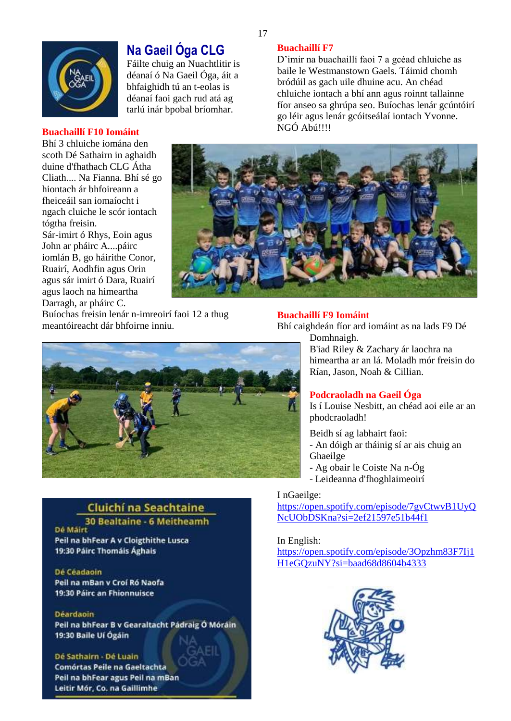

### **Na Gaeil Óga CLG**

Fáilte chuig an Nuachtlitir is déanaí ó Na Gaeil Óga, áit a bhfaighidh tú an t-eolas is déanaí faoi gach rud atá ag tarlú inár bpobal bríomhar.

#### **Buachaillí F7**

D'imir na buachaillí faoi 7 a gcéad chluiche as baile le Westmanstown Gaels. Táimid chomh bródúil as gach uile dhuine acu. An chéad chluiche iontach a bhí ann agus roinnt tallainne fíor anseo sa ghrúpa seo. Buíochas lenár gcúntóirí go léir agus lenár gcóitseálaí iontach Yvonne. NGÓ Abú!!!!

#### **Buachaillí F10 Iomáint**

Bhí 3 chluiche iomána den scoth Dé Sathairn in aghaidh duine d'fhathach CLG Átha Cliath.... Na Fianna. Bhí sé go hiontach ár bhfoireann a fheiceáil san iomaíocht i ngach cluiche le scór iontach tógtha freisin. Sár-imirt ó Rhys, Eoin agus John ar pháirc A....páirc iomlán B, go háirithe Conor, Ruairí, Aodhfin agus Orin agus sár imirt ó Dara, Ruairí agus laoch na himeartha

Darragh, ar pháirc C.



**Buachaillí F9 Iomáint**

Buíochas freisin lenár n-imreoirí faoi 12 a thug meantóireacht dár bhfoirne inniu.

#### Domhnaigh. B'iad Riley & Zachary ár laochra na himeartha ar an lá. Moladh mór freisin do Rían, Jason, Noah & Cillian. **Podcraoladh na Gaeil Óga**

Is í Louise Nesbitt, an chéad aoi eile ar an phodcraoladh!

Beidh sí ag labhairt faoi: - An dóigh ar tháinig sí ar ais chuig an Ghaeilge - Ag obair le Coiste Na n-Óg

- Leideanna d'fhoghlaimeoirí

Bhí caighdeán fíor ard iomáint as na lads F9 Dé

#### I nGaeilge:

[https://open.spotify.com/episode/7gvCtwvB1UyQ](https://open.spotify.com/episode/7gvCtwvB1UyQNcUObDSKna?si=2ef21597e51b44f1) [NcUObDSKna?si=2ef21597e51b44f1](https://open.spotify.com/episode/7gvCtwvB1UyQNcUObDSKna?si=2ef21597e51b44f1)

In English: [https://open.spotify.com/episode/3Opzhm83F7Ij1](https://open.spotify.com/episode/3Opzhm83F7Ij1H1eGQzuNY?si=baad68d8604b4333) [H1eGQzuNY?si=baad68d8604b4333](https://open.spotify.com/episode/3Opzhm83F7Ij1H1eGQzuNY?si=baad68d8604b4333)



### **Cluichí na Seachtaine**

30 Bealtaine - 6 Meitheamh **Dé Mairt** Peil na bhFear A v Cloigthithe Lusca 19:30 Páirc Thomáis Ághais

#### Dé Céadaoin

Peil na mBan y Croí Ró Naofa 19:30 Páirc an Fhionnuisce

#### **Déardaoin**

Peil na bhFear B v Gearaltacht Pádraig Ó Móráin 19:30 Baile Uí Ógáin

Dé Sathairn Dé Luain Comórtas Peile na Gaeltachta Peil na bhFear agus Peil na mBan Leitir Mór, Co. na Gaillimhe

17